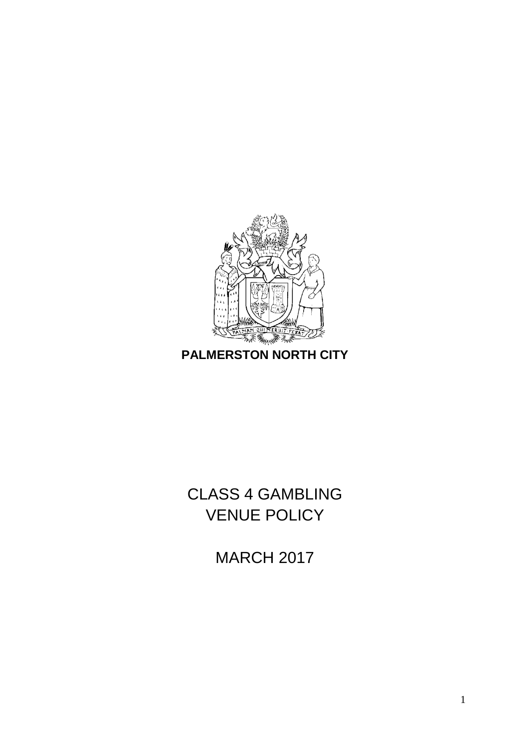

**PALMERSTON NORTH CITY**

CLASS 4 GAMBLING VENUE POLICY

MARCH 2017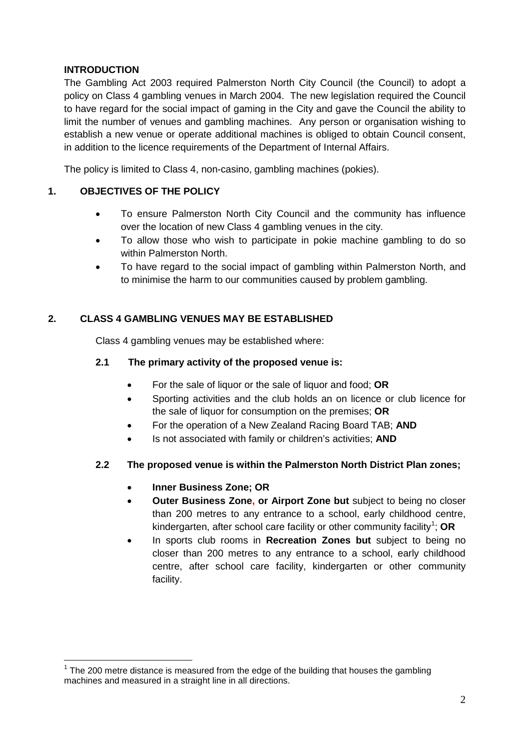## **INTRODUCTION**

The Gambling Act 2003 required Palmerston North City Council (the Council) to adopt a policy on Class 4 gambling venues in March 2004. The new legislation required the Council to have regard for the social impact of gaming in the City and gave the Council the ability to limit the number of venues and gambling machines. Any person or organisation wishing to establish a new venue or operate additional machines is obliged to obtain Council consent, in addition to the licence requirements of the Department of Internal Affairs.

The policy is limited to Class 4, non-casino, gambling machines (pokies).

## **1. OBJECTIVES OF THE POLICY**

- To ensure Palmerston North City Council and the community has influence over the location of new Class 4 gambling venues in the city.
- To allow those who wish to participate in pokie machine gambling to do so within Palmerston North.
- To have regard to the social impact of gambling within Palmerston North, and to minimise the harm to our communities caused by problem gambling.

## **2. CLASS 4 GAMBLING VENUES MAY BE ESTABLISHED**

Class 4 gambling venues may be established where:

#### **2.1 The primary activity of the proposed venue is:**

- For the sale of liquor or the sale of liquor and food; **OR**
- Sporting activities and the club holds an on licence or club licence for the sale of liquor for consumption on the premises; **OR**
- For the operation of a New Zealand Racing Board TAB; **AND**
- Is not associated with family or children's activities; **AND**

## **2.2 The proposed venue is within the Palmerston North District Plan zones;**

## • **Inner Business Zone; OR**

- **Outer Business Zone, or Airport Zone but** subject to being no closer than 200 metres to any entrance to a school, early childhood centre, kindergarten, after school care facility or other community facility<sup>[1](#page-1-0)</sup>; OR
- In sports club rooms in **Recreation Zones but** subject to being no closer than 200 metres to any entrance to a school, early childhood centre, after school care facility, kindergarten or other community facility.

<span id="page-1-0"></span> $1$  The 200 metre distance is measured from the edge of the building that houses the gambling machines and measured in a straight line in all directions.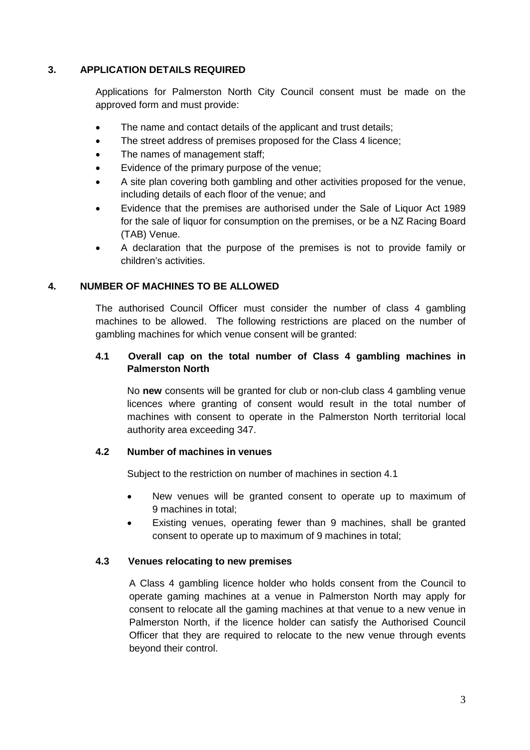#### **3. APPLICATION DETAILS REQUIRED**

Applications for Palmerston North City Council consent must be made on the approved form and must provide:

- The name and contact details of the applicant and trust details;
- The street address of premises proposed for the Class 4 licence;
- The names of management staff;
- Evidence of the primary purpose of the venue;
- A site plan covering both gambling and other activities proposed for the venue, including details of each floor of the venue; and
- Evidence that the premises are authorised under the Sale of Liquor Act 1989 for the sale of liquor for consumption on the premises, or be a NZ Racing Board (TAB) Venue.
- A declaration that the purpose of the premises is not to provide family or children's activities.

#### **4. NUMBER OF MACHINES TO BE ALLOWED**

The authorised Council Officer must consider the number of class 4 gambling machines to be allowed. The following restrictions are placed on the number of gambling machines for which venue consent will be granted:

## **4.1 Overall cap on the total number of Class 4 gambling machines in Palmerston North**

No **new** consents will be granted for club or non-club class 4 gambling venue licences where granting of consent would result in the total number of machines with consent to operate in the Palmerston North territorial local authority area exceeding 347.

#### **4.2 Number of machines in venues**

Subject to the restriction on number of machines in section 4.1

- New venues will be granted consent to operate up to maximum of 9 machines in total;
- Existing venues, operating fewer than 9 machines, shall be granted consent to operate up to maximum of 9 machines in total;

#### **4.3 Venues relocating to new premises**

A Class 4 gambling licence holder who holds consent from the Council to operate gaming machines at a venue in Palmerston North may apply for consent to relocate all the gaming machines at that venue to a new venue in Palmerston North, if the licence holder can satisfy the Authorised Council Officer that they are required to relocate to the new venue through events beyond their control.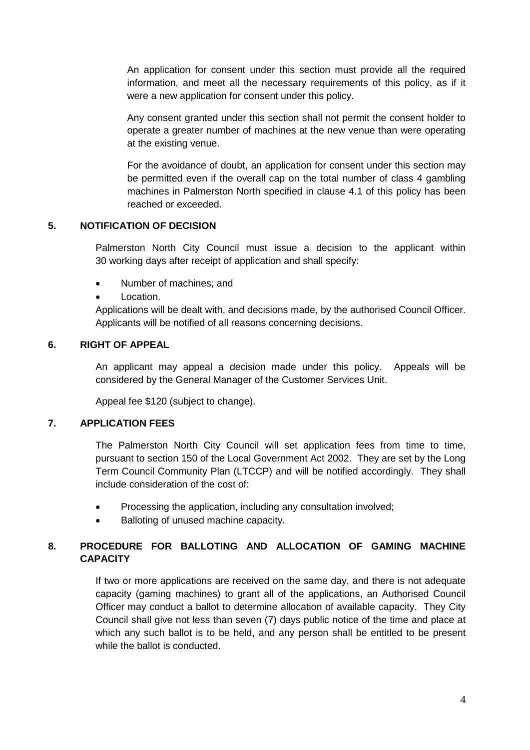An application for consent under this section must provide all the required information, and meet all the necessary requirements of this policy, as if it were a new application for consent under this policy.

Any consent granted under this section shall not permit the consent holder to operate a greater number of machines at the new venue than were operating at the existing venue.

For the avoidance of doubt, an application for consent under this section may be permitted even if the overall cap on the total number of class 4 gambling machines in Palmerston North specified in clause 4.1 of this policy has been reached or exceeded.

## **5. NOTIFICATION OF DECISION**

Palmerston North City Council must issue a decision to the applicant within 30 working days after receipt of application and shall specify:

- Number of machines; and
- Location.

Applications will be dealt with, and decisions made, by the authorised Council Officer. Applicants will be notified of all reasons concerning decisions.

#### **6. RIGHT OF APPEAL**

An applicant may appeal a decision made under this policy. Appeals will be considered by the General Manager of the Customer Services Unit.

Appeal fee \$120 (subject to change).

#### **7. APPLICATION FEES**

The Palmerston North City Council will set application fees from time to time, pursuant to section 150 of the Local Government Act 2002. They are set by the Long Term Council Community Plan (LTCCP) and will be notified accordingly. They shall include consideration of the cost of:

- Processing the application, including any consultation involved;
- Balloting of unused machine capacity.

# **8. PROCEDURE FOR BALLOTING AND ALLOCATION OF GAMING MACHINE CAPACITY**

If two or more applications are received on the same day, and there is not adequate capacity (gaming machines) to grant all of the applications, an Authorised Council Officer may conduct a ballot to determine allocation of available capacity. They City Council shall give not less than seven (7) days public notice of the time and place at which any such ballot is to be held, and any person shall be entitled to be present while the ballot is conducted.